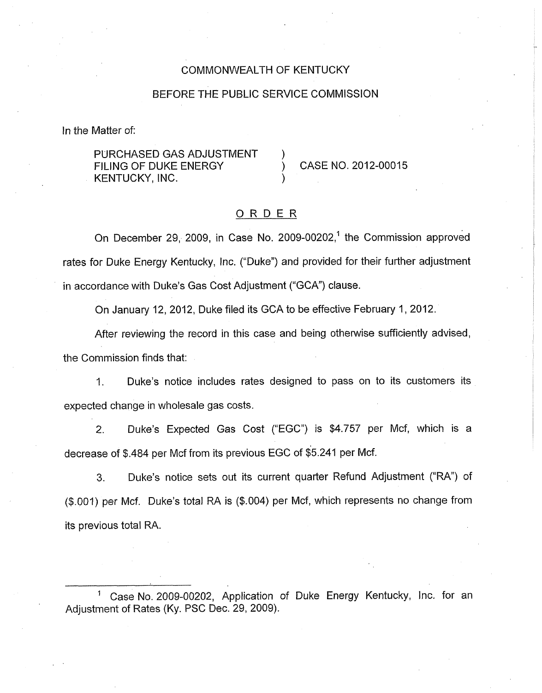### COMMONWEALTH OF KENTUCKY

#### BEFORE THE PUBLIC SERVICE COMMISSION

In the Matter of:

## PURCHASED GAS ADJUSTMENT FILING OF DUKE ENERGY **CASE NO. 2012-00015** KENTUCKY, INC.

## ORDER

On December 29, 2009, in Case No. 2009-00202,' the Commission approved rates for Duke Energy Kentucky, Inc. ("Duke") and provided for their further adjustment in accordance with Duke's Gas Cost Adjustment ("GCA") clause.

On January 12, 2012, Duke filed its GCA to be effective February 1,2012.

After reviewing the record in this case and being otherwise sufficiently advised, the Commission finds that:

1. Duke's notice includes rates designed to pass on to its customers its expected change in wholesale gas costs.

2. Duke's Expected Gas Cost ("EGC") is \$4.757 per Mcf, which is a decrease of \$.484 per Mcf from its previous EGC of \$5.241 per Mcf.

3. Duke's notice sets out its current quarter Refund Adjustment (%A") of (\$.004) per Mcf. Duke's total RA is (\$.004) per Mcf, which represents no change from its previous total RA.

Case No. 2009-00202, Application of Duke Energy Kentucky, Inc. for an Adjustment of Rates (Ky. PSC Dec. 29, 2009).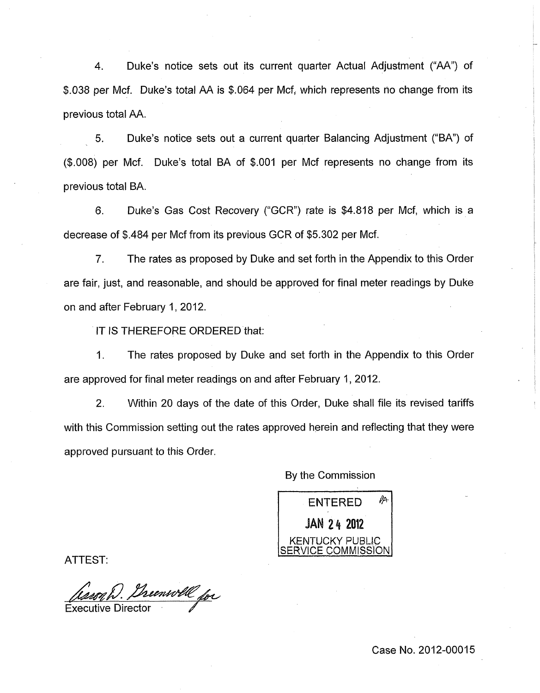4. Duke's notice sets out its current quarter Actual Adjustment ("AA") of \$.038 per Mcf. Duke's total AA is \$.064 per Mcf, which represents no change from its previous total AA.

5. Duke's notice sets out a current quarter Balancing Adjustment ("BA") of (\$.008) per Mcf. Duke's total BA of \$.OOl per Mcf represents no change from its previous total BA.

6. Duke's Gas Cost Recovery ("GCR") rate is \$4.818 per Mcf, which is a decrease of \$.484 per Mcf from its previous GCR of \$5.302 per Mcf.

*7.* The rates as proposed by Duke and set forth in the Appendix to this Order are fair, just, and reasonable, and should be approved for final meter readings by Duke on and after February 1,2012.

IT **IS** THEREFORE ORDERED that:

I. The rates proposed by Duke and set forth in the Appendix to this Order are approved for final meter readings on and after February 1, 2012.

2. Within 20 days of the date of this Order, Duke shall file its revised tariffs with this Commission setting out the rates approved herein and reflecting that they were approved pursuant to this Order.

By the Commission

ENTERED  $\mathbb{A}$ **JAN 24 2012** I KENTUCKY PUBLIC /ICE COMMISSION

ATTEST:

*Cesso W. Dreenwell for* 

Case No. 2012-00015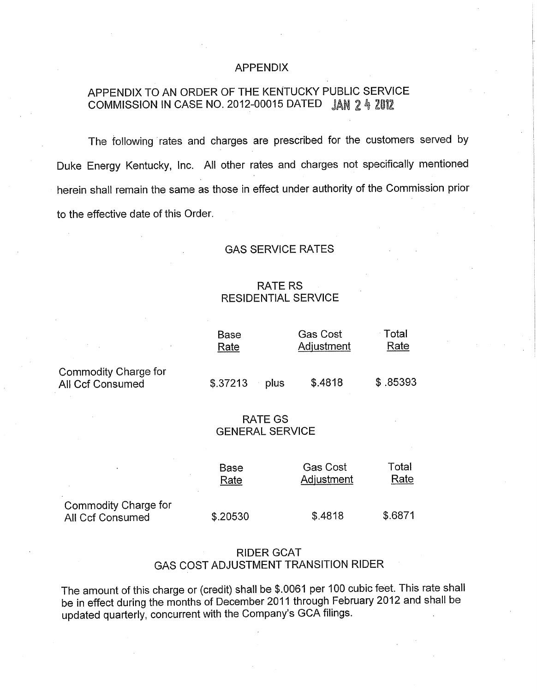### APPENDIX

# APPENDIX TO AN ORDER OF THE KENTUCKY PUBLIC SERVICE COMMISSION IN CASE **NO.** 2012-00015 DATED **JAN** 2 % 2012

The following rates and charges are prescribed for the customers served by Duke Energy Kentucky, Inc. All other rates and charges not specifically mentioned herein shall remain the same as those in effect under authority of the Commission prior to the effective date of this Order.

#### GAS SERVICE RATES

## RATE RS RESIDENTIAL SERVICE

|                                                                                                                                                                                                                                         | RAIE RS<br><b>RESIDENTIAL SERVICE</b> |                               |               |  |
|-----------------------------------------------------------------------------------------------------------------------------------------------------------------------------------------------------------------------------------------|---------------------------------------|-------------------------------|---------------|--|
| $\mathcal{L}^{\mathcal{L}}(\mathcal{L}^{\mathcal{L}})$ and $\mathcal{L}^{\mathcal{L}}(\mathcal{L}^{\mathcal{L}})$ and $\mathcal{L}^{\mathcal{L}}(\mathcal{L}^{\mathcal{L}})$ and $\mathcal{L}^{\mathcal{L}}(\mathcal{L}^{\mathcal{L}})$ | <b>Base</b><br>Rate                   | <b>Gas Cost</b><br>Adjustment | Total<br>Rate |  |
| Commodity Charge for<br>All Ccf Consumed                                                                                                                                                                                                | \$.37213<br>plus                      | \$.4818                       | \$.85393      |  |

### RATE GS GENERAL SERVICE

|                                                 | Base     | <b>Gas Cost</b> | Total   |
|-------------------------------------------------|----------|-----------------|---------|
|                                                 | Rate     | Adjustment      | Rate    |
| Commodity Charge for<br><b>All Ccf Consumed</b> | \$.20530 | \$.4818         | \$.6871 |

## RIDER GCAT GAS COST ADJUSTMENT TRANSITION RIDER

The amount of this charge or (credit) shall be \$.0061 per 100 cubic feet. This rate shall be in effect during the months of December 2011 through February 2012 and shall be updated quarterly, concurrent with the Company's GCA filings.